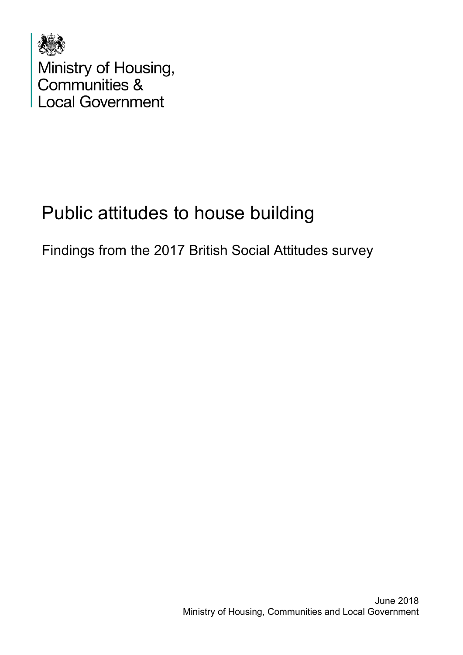

# Public attitudes to house building

Findings from the 2017 British Social Attitudes survey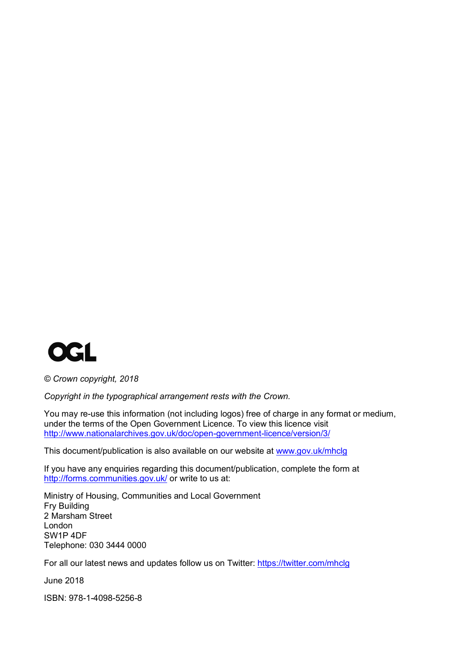

*© Crown copyright, 2018*

*Copyright in the typographical arrangement rests with the Crown.*

You may re-use this information (not including logos) free of charge in any format or medium, under the terms of the Open Government Licence. To view this licence visit <http://www.nationalarchives.gov.uk/doc/open-government-licence/version/3/>

This document/publication is also available on our website at [www.gov.uk/mhclg](http://www.gov.uk/mhclg)

If you have any enquiries regarding this document/publication, complete the form at <http://forms.communities.gov.uk/> or write to us at:

Ministry of Housing, Communities and Local Government Fry Building 2 Marsham Street London SW1P 4DF Telephone: 030 3444 0000

For all our latest news and updates follow us on Twitter:<https://twitter.com/mhclg>

June 2018

ISBN: 978-1-4098-5256-8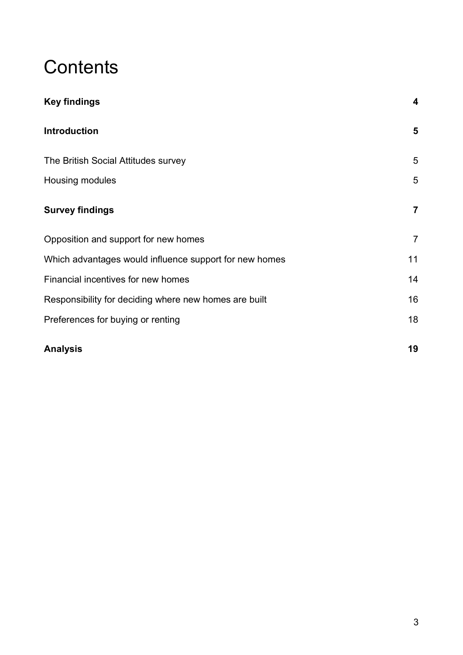# **Contents**

| <b>Key findings</b>                                    | $\boldsymbol{4}$ |
|--------------------------------------------------------|------------------|
| <b>Introduction</b>                                    | 5                |
| The British Social Attitudes survey                    | 5                |
| Housing modules                                        | 5                |
| <b>Survey findings</b>                                 | $\overline{7}$   |
| Opposition and support for new homes                   | $\overline{7}$   |
| Which advantages would influence support for new homes | 11               |
| Financial incentives for new homes                     | 14               |
| Responsibility for deciding where new homes are built  | 16               |
| Preferences for buying or renting                      | 18               |
| <b>Analysis</b>                                        | 19               |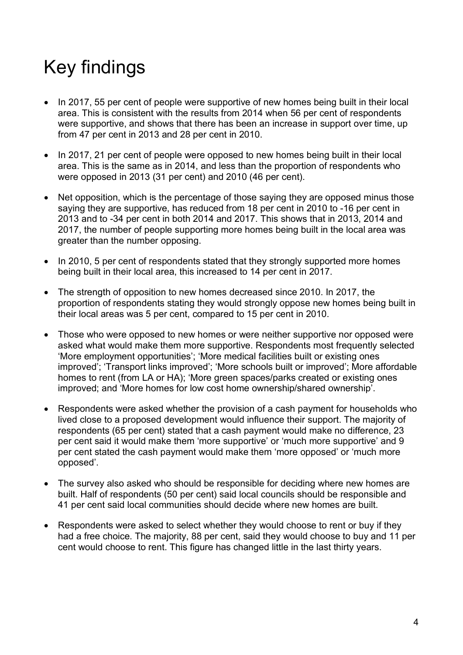# <span id="page-3-0"></span>Key findings

- In 2017, 55 per cent of people were supportive of new homes being built in their local area. This is consistent with the results from 2014 when 56 per cent of respondents were supportive, and shows that there has been an increase in support over time, up from 47 per cent in 2013 and 28 per cent in 2010.
- In 2017, 21 per cent of people were opposed to new homes being built in their local area. This is the same as in 2014, and less than the proportion of respondents who were opposed in 2013 (31 per cent) and 2010 (46 per cent).
- Net opposition, which is the percentage of those saying they are opposed minus those saying they are supportive, has reduced from 18 per cent in 2010 to -16 per cent in 2013 and to -34 per cent in both 2014 and 2017. This shows that in 2013, 2014 and 2017, the number of people supporting more homes being built in the local area was greater than the number opposing.
- In 2010, 5 per cent of respondents stated that they strongly supported more homes being built in their local area, this increased to 14 per cent in 2017.
- The strength of opposition to new homes decreased since 2010. In 2017, the proportion of respondents stating they would strongly oppose new homes being built in their local areas was 5 per cent, compared to 15 per cent in 2010.
- Those who were opposed to new homes or were neither supportive nor opposed were asked what would make them more supportive. Respondents most frequently selected 'More employment opportunities'; 'More medical facilities built or existing ones improved'; 'Transport links improved'; 'More schools built or improved'; More affordable homes to rent (from LA or HA); 'More green spaces/parks created or existing ones improved; and 'More homes for low cost home ownership/shared ownership'.
- Respondents were asked whether the provision of a cash payment for households who lived close to a proposed development would influence their support. The majority of respondents (65 per cent) stated that a cash payment would make no difference, 23 per cent said it would make them 'more supportive' or 'much more supportive' and 9 per cent stated the cash payment would make them 'more opposed' or 'much more opposed'.
- The survey also asked who should be responsible for deciding where new homes are built. Half of respondents (50 per cent) said local councils should be responsible and 41 per cent said local communities should decide where new homes are built.
- Respondents were asked to select whether they would choose to rent or buy if they had a free choice. The majority, 88 per cent, said they would choose to buy and 11 per cent would choose to rent. This figure has changed little in the last thirty years.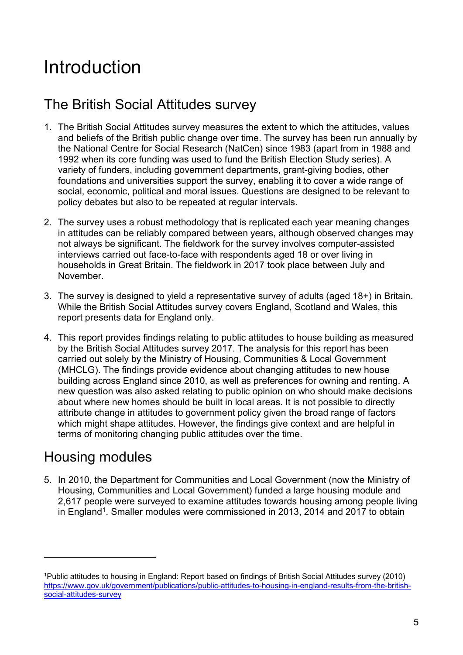# <span id="page-4-0"></span>Introduction

# <span id="page-4-1"></span>The British Social Attitudes survey

- 1. The British Social Attitudes survey measures the extent to which the attitudes, values and beliefs of the British public change over time. The survey has been run annually by the National Centre for Social Research (NatCen) since 1983 (apart from in 1988 and 1992 when its core funding was used to fund the British Election Study series). A variety of funders, including government departments, grant-giving bodies, other foundations and universities support the survey, enabling it to cover a wide range of social, economic, political and moral issues. Questions are designed to be relevant to policy debates but also to be repeated at regular intervals.
- 2. The survey uses a robust methodology that is replicated each year meaning changes in attitudes can be reliably compared between years, although observed changes may not always be significant. The fieldwork for the survey involves computer-assisted interviews carried out face-to-face with respondents aged 18 or over living in households in Great Britain. The fieldwork in 2017 took place between July and November.
- 3. The survey is designed to yield a representative survey of adults (aged 18+) in Britain. While the British Social Attitudes survey covers England, Scotland and Wales, this report presents data for England only.
- 4. This report provides findings relating to public attitudes to house building as measured by the British Social Attitudes survey 2017. The analysis for this report has been carried out solely by the Ministry of Housing, Communities & Local Government (MHCLG). The findings provide evidence about changing attitudes to new house building across England since 2010, as well as preferences for owning and renting. A new question was also asked relating to public opinion on who should make decisions about where new homes should be built in local areas. It is not possible to directly attribute change in attitudes to government policy given the broad range of factors which might shape attitudes. However, the findings give context and are helpful in terms of monitoring changing public attitudes over the time.

# <span id="page-4-2"></span>Housing modules

5. In 2010, the Department for Communities and Local Government (now the Ministry of Housing, Communities and Local Government) funded a large housing module and 2,617 people were surveyed to examine attitudes towards housing among people living in England<sup>[1](#page-4-3)</sup>. Smaller modules were commissioned in 2013, 2014 and 2017 to obtain

<span id="page-4-3"></span><sup>1</sup>Public attitudes to housing in England: Report based on findings of British Social Attitudes survey (2010) [https://www.gov.uk/government/publications/public-attitudes-to-housing-in-england-results-from-the-british](https://www.gov.uk/government/publications/public-attitudes-to-housing-in-england-results-from-the-british-social-attitudes-survey)[social-attitudes-survey](https://www.gov.uk/government/publications/public-attitudes-to-housing-in-england-results-from-the-british-social-attitudes-survey)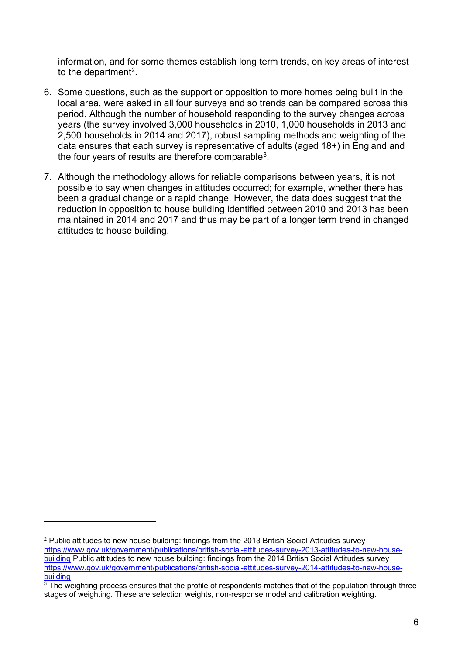information, and for some themes establish long term trends, on key areas of interest to the department<sup>2</sup>.

- 6. Some questions, such as the support or opposition to more homes being built in the local area, were asked in all four surveys and so trends can be compared across this period. Although the number of household responding to the survey changes across years (the survey involved 3,000 households in 2010, 1,000 households in 2013 and 2,500 households in 2014 and 2017), robust sampling methods and weighting of the data ensures that each survey is representative of adults (aged 18+) in England and the four years of results are therefore comparable $3$ .
- 7. Although the methodology allows for reliable comparisons between years, it is not possible to say when changes in attitudes occurred; for example, whether there has been a gradual change or a rapid change. However, the data does suggest that the reduction in opposition to house building identified between 2010 and 2013 has been maintained in 2014 and 2017 and thus may be part of a longer term trend in changed attitudes to house building.

<span id="page-5-0"></span> $2$  Public attitudes to new house building: findings from the 2013 British Social Attitudes survey [https://www.gov.uk/government/publications/british-social-attitudes-survey-2013-attitudes-to-new-house](https://www.gov.uk/government/publications/british-social-attitudes-survey-2013-attitudes-to-new-house-building)[building](https://www.gov.uk/government/publications/british-social-attitudes-survey-2013-attitudes-to-new-house-building) Public attitudes to new house building: findings from the 2014 British Social Attitudes survey [https://www.gov.uk/government/publications/british-social-attitudes-survey-2014-attitudes-to-new-house](https://www.gov.uk/government/publications/british-social-attitudes-survey-2014-attitudes-to-new-house-building)[building](https://www.gov.uk/government/publications/british-social-attitudes-survey-2014-attitudes-to-new-house-building)

<span id="page-5-1"></span><sup>&</sup>lt;sup>3</sup> The weighting process ensures that the profile of respondents matches that of the population through three stages of weighting. These are selection weights, non-response model and calibration weighting.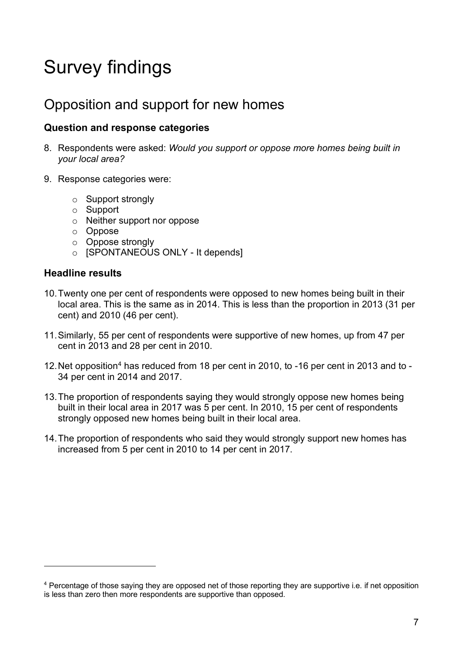# <span id="page-6-0"></span>Survey findings

## <span id="page-6-1"></span>Opposition and support for new homes

### **Question and response categories**

- 8. Respondents were asked: *Would you support or oppose more homes being built in your local area?*
- 9. Response categories were:
	- o Support strongly
	- o Support
	- o Neither support nor oppose
	- o Oppose
	- o Oppose strongly
	- o [SPONTANEOUS ONLY It depends]

### **Headline results**

- 10.Twenty one per cent of respondents were opposed to new homes being built in their local area. This is the same as in 2014. This is less than the proportion in 2013 (31 per cent) and 2010 (46 per cent).
- 11.Similarly, 55 per cent of respondents were supportive of new homes, up from 47 per cent in 2013 and 28 per cent in 2010.
- 12.Net opposition[4](#page-6-2) has reduced from 18 per cent in 2010, to -16 per cent in 2013 and to 34 per cent in 2014 and 2017.
- 13.The proportion of respondents saying they would strongly oppose new homes being built in their local area in 2017 was 5 per cent. In 2010, 15 per cent of respondents strongly opposed new homes being built in their local area.
- 14.The proportion of respondents who said they would strongly support new homes has increased from 5 per cent in 2010 to 14 per cent in 2017.

<span id="page-6-2"></span><sup>4</sup> Percentage of those saying they are opposed net of those reporting they are supportive i.e. if net opposition is less than zero then more respondents are supportive than opposed.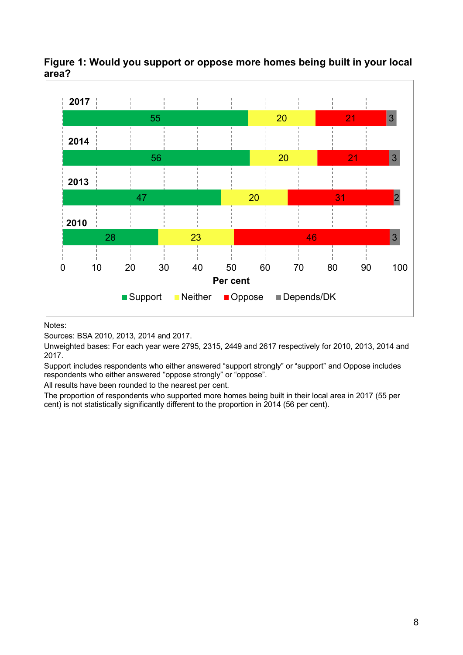

### **Figure 1: Would you support or oppose more homes being built in your local area?**

Notes:

Sources: BSA 2010, 2013, 2014 and 2017.

Unweighted bases: For each year were 2795, 2315, 2449 and 2617 respectively for 2010, 2013, 2014 and 2017.

Support includes respondents who either answered "support strongly" or "support" and Oppose includes respondents who either answered "oppose strongly" or "oppose".

All results have been rounded to the nearest per cent.

The proportion of respondents who supported more homes being built in their local area in 2017 (55 per cent) is not statistically significantly different to the proportion in 2014 (56 per cent).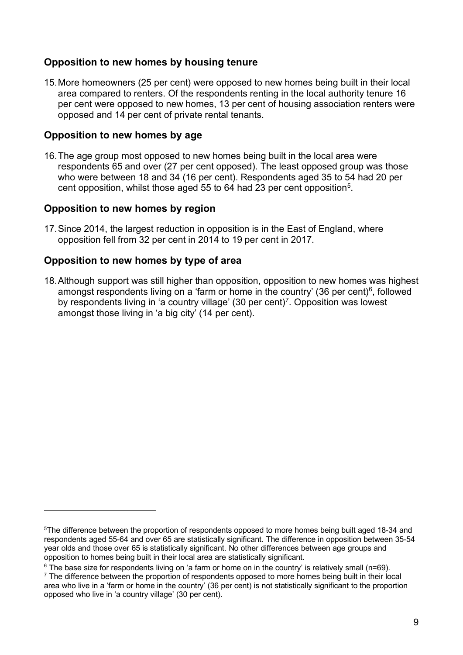### **Opposition to new homes by housing tenure**

15.More homeowners (25 per cent) were opposed to new homes being built in their local area compared to renters. Of the respondents renting in the local authority tenure 16 per cent were opposed to new homes, 13 per cent of housing association renters were opposed and 14 per cent of private rental tenants.

### **Opposition to new homes by age**

16.The age group most opposed to new homes being built in the local area were respondents 65 and over (27 per cent opposed). The least opposed group was those who were between 18 and 34 (16 per cent). Respondents aged 35 to 54 had 20 per cent opposition, whilst those aged 55 to 64 had 23 per cent opposition<sup>5</sup>.

### **Opposition to new homes by region**

17.Since 2014, the largest reduction in opposition is in the East of England, where opposition fell from 32 per cent in 2014 to 19 per cent in 2017.

### **Opposition to new homes by type of area**

18.Although support was still higher than opposition, opposition to new homes was highest amongst respondents living on a 'farm or home in the country' (36 per cent) $6$ , followed by respondents living in 'a country village' (30 per cent)<sup>7</sup>. Opposition was lowest amongst those living in 'a big city' (14 per cent).

<span id="page-8-0"></span><sup>5</sup> The difference between the proportion of respondents opposed to more homes being built aged 18-34 and respondents aged 55-64 and over 65 are statistically significant. The difference in opposition between 35-54 year olds and those over 65 is statistically significant. No other differences between age groups and opposition to homes being built in their local area are statistically significant.

<span id="page-8-1"></span> $6$  The base size for respondents living on 'a farm or home on in the country' is relatively small (n=69).

<span id="page-8-2"></span> $<sup>7</sup>$  The difference between the proportion of respondents opposed to more homes being built in their local</sup> area who live in a 'farm or home in the country' (36 per cent) is not statistically significant to the proportion opposed who live in 'a country village' (30 per cent).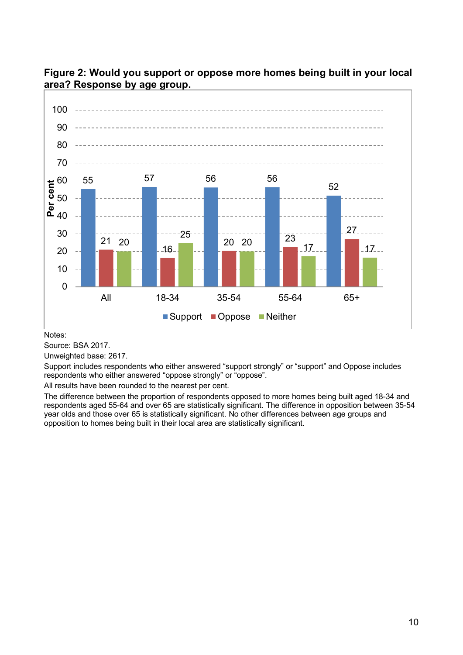

**Figure 2: Would you support or oppose more homes being built in your local area? Response by age group.**

Notes:

Source: BSA 2017.

Unweighted base: 2617.

Support includes respondents who either answered "support strongly" or "support" and Oppose includes respondents who either answered "oppose strongly" or "oppose".

All results have been rounded to the nearest per cent.

The difference between the proportion of respondents opposed to more homes being built aged 18-34 and respondents aged 55-64 and over 65 are statistically significant. The difference in opposition between 35-54 year olds and those over 65 is statistically significant. No other differences between age groups and opposition to homes being built in their local area are statistically significant.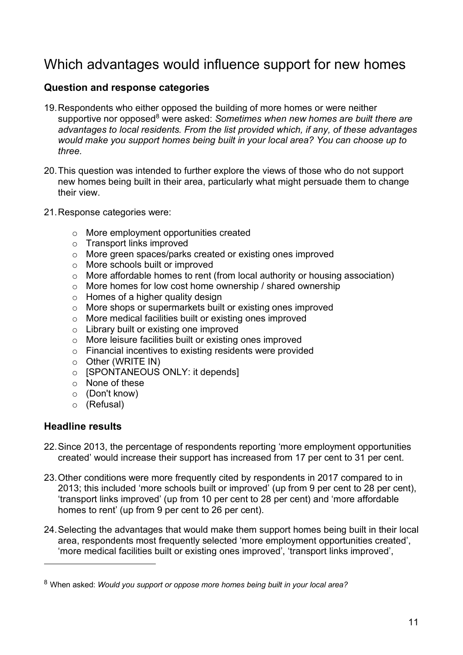## <span id="page-10-0"></span>Which advantages would influence support for new homes

### **Question and response categories**

- 19.Respondents who either opposed the building of more homes or were neither supportive nor opposed<sup>[8](#page-10-1)</sup> were asked: *Sometimes when new homes are built there are advantages to local residents. From the list provided which, if any, of these advantages would make you support homes being built in your local area? You can choose up to three.*
- 20.This question was intended to further explore the views of those who do not support new homes being built in their area, particularly what might persuade them to change their view.
- 21.Response categories were:
	- o More employment opportunities created
	- o Transport links improved
	- o More green spaces/parks created or existing ones improved
	- o More schools built or improved
	- o More affordable homes to rent (from local authority or housing association)
	- o More homes for low cost home ownership / shared ownership
	- $\circ$  Homes of a higher quality design
	- o More shops or supermarkets built or existing ones improved
	- o More medical facilities built or existing ones improved
	- o Library built or existing one improved
	- o More leisure facilities built or existing ones improved
	- o Financial incentives to existing residents were provided
	- o Other (WRITE IN)
	- o **[SPONTANEOUS ONLY: it depends]**
	- o None of these
	- o (Don't know)
	- o (Refusal)

### **Headline results**

- 22.Since 2013, the percentage of respondents reporting 'more employment opportunities created' would increase their support has increased from 17 per cent to 31 per cent.
- 23.Other conditions were more frequently cited by respondents in 2017 compared to in 2013; this included 'more schools built or improved' (up from 9 per cent to 28 per cent), 'transport links improved' (up from 10 per cent to 28 per cent) and 'more affordable homes to rent' (up from 9 per cent to 26 per cent).
- 24.Selecting the advantages that would make them support homes being built in their local area, respondents most frequently selected 'more employment opportunities created', 'more medical facilities built or existing ones improved', 'transport links improved',

<span id="page-10-1"></span><sup>8</sup> When asked: *Would you support or oppose more homes being built in your local area?*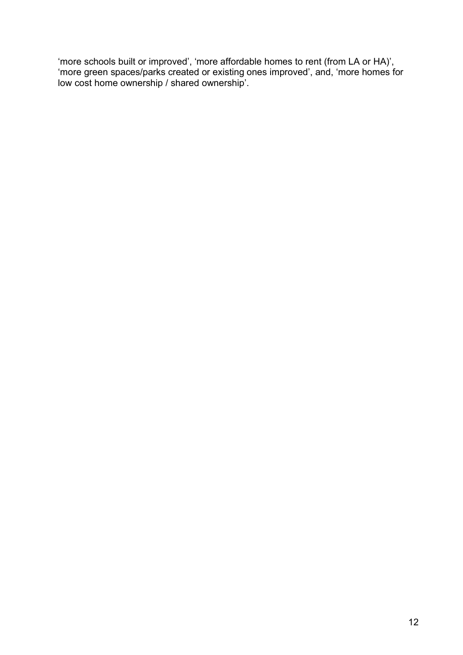'more schools built or improved', 'more affordable homes to rent (from LA or HA)', 'more green spaces/parks created or existing ones improved', and, 'more homes for low cost home ownership / shared ownership'.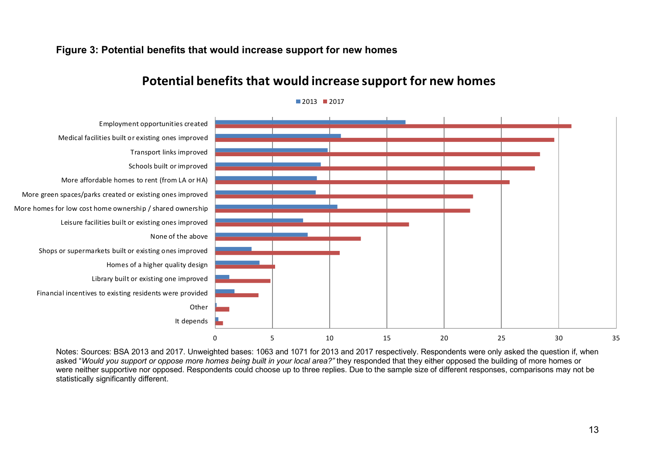### **Figure 3: Potential benefits that would increase support for new homes**



## **Potential benefits that would increase support for new homes**

 $2013$  2017

Notes: Sources: BSA 2013 and 2017. Unweighted bases: 1063 and 1071 for 2013 and 2017 respectively. Respondents were only asked the question if, when asked "*Would you support or oppose more homes being built in your local area?"* they responded that they either opposed the building of more homes or were neither supportive nor opposed. Respondents could choose up to three replies. Due to the sample size of different responses, comparisons may not be statistically significantly different.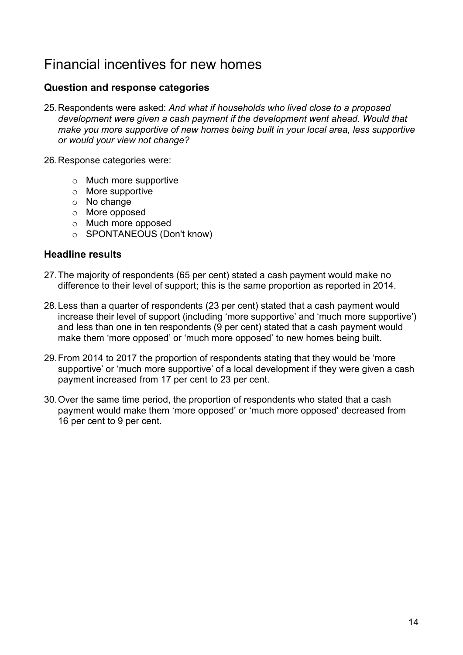## <span id="page-13-0"></span>Financial incentives for new homes

### **Question and response categories**

- 25.Respondents were asked: *And what if households who lived close to a proposed*  development were given a cash payment if the development went ahead. Would that *make you more supportive of new homes being built in your local area, less supportive or would your view not change?*
- 26.Response categories were:
	- o Much more supportive
	- o More supportive
	- o No change
	- o More opposed
	- o Much more opposed
	- o SPONTANEOUS (Don't know)

#### **Headline results**

- 27.The majority of respondents (65 per cent) stated a cash payment would make no difference to their level of support; this is the same proportion as reported in 2014.
- 28.Less than a quarter of respondents (23 per cent) stated that a cash payment would increase their level of support (including 'more supportive' and 'much more supportive') and less than one in ten respondents (9 per cent) stated that a cash payment would make them 'more opposed' or 'much more opposed' to new homes being built.
- 29.From 2014 to 2017 the proportion of respondents stating that they would be 'more supportive' or 'much more supportive' of a local development if they were given a cash payment increased from 17 per cent to 23 per cent.
- 30.Over the same time period, the proportion of respondents who stated that a cash payment would make them 'more opposed' or 'much more opposed' decreased from 16 per cent to 9 per cent.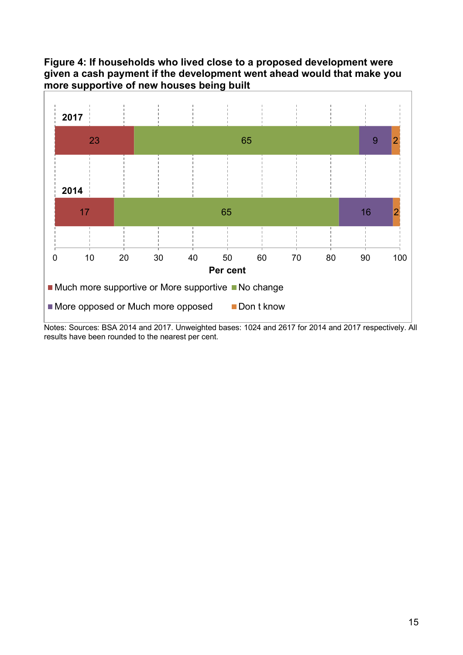### **Figure 4: If households who lived close to a proposed development were given a cash payment if the development went ahead would that make you more supportive of new houses being built**



Notes: Sources: BSA 2014 and 2017. Unweighted bases: 1024 and 2617 for 2014 and 2017 respectively. All results have been rounded to the nearest per cent.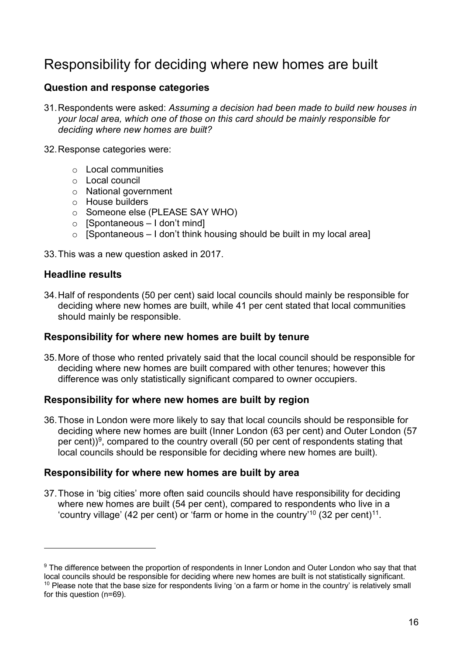## <span id="page-15-0"></span>Responsibility for deciding where new homes are built

### **Question and response categories**

- 31.Respondents were asked: *Assuming a decision had been made to build new houses in your local area, which one of those on this card should be mainly responsible for deciding where new homes are built?*
- 32.Response categories were:
	- o Local communities
	- o Local council
	- o National government
	- o House builders
	- o Someone else (PLEASE SAY WHO)
	- $\circ$  [Spontaneous I don't mind]
	- $\circ$  [Spontaneous I don't think housing should be built in my local area]
- 33.This was a new question asked in 2017.

#### **Headline results**

34.Half of respondents (50 per cent) said local councils should mainly be responsible for deciding where new homes are built, while 41 per cent stated that local communities should mainly be responsible.

#### **Responsibility for where new homes are built by tenure**

35.More of those who rented privately said that the local council should be responsible for deciding where new homes are built compared with other tenures; however this difference was only statistically significant compared to owner occupiers.

#### **Responsibility for where new homes are built by region**

36.Those in London were more likely to say that local councils should be responsible for deciding where new homes are built (Inner London (63 per cent) and Outer London (57 per cent))<sup>9</sup>, compared to the country overall (50 per cent of respondents stating that local councils should be responsible for deciding where new homes are built).

#### **Responsibility for where new homes are built by area**

37.Those in 'big cities' more often said councils should have responsibility for deciding where new homes are built (54 per cent), compared to respondents who live in a 'country village' (42 per cent) or 'farm or home in the country'<sup>[10](#page-15-2)</sup> (32 per cent)<sup>[11](#page-15-1)</sup>.

<span id="page-15-2"></span><span id="page-15-1"></span><sup>&</sup>lt;sup>9</sup> The difference between the proportion of respondents in Inner London and Outer London who say that that local councils should be responsible for deciding where new homes are built is not statistically significant. <sup>10</sup> Please note that the base size for respondents living 'on a farm or home in the country' is relatively small for this question (n=69).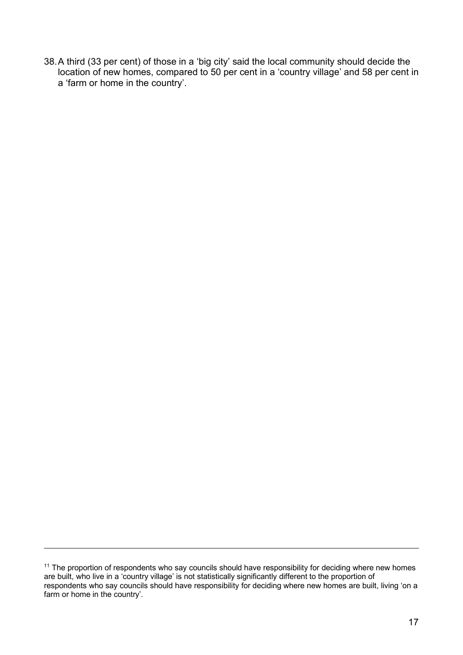38.A third (33 per cent) of those in a 'big city' said the local community should decide the location of new homes, compared to 50 per cent in a 'country village' and 58 per cent in a 'farm or home in the country'.

 $11$  The proportion of respondents who say councils should have responsibility for deciding where new homes are built, who live in a 'country village' is not statistically significantly different to the proportion of respondents who say councils should have responsibility for deciding where new homes are built, living 'on a farm or home in the country'.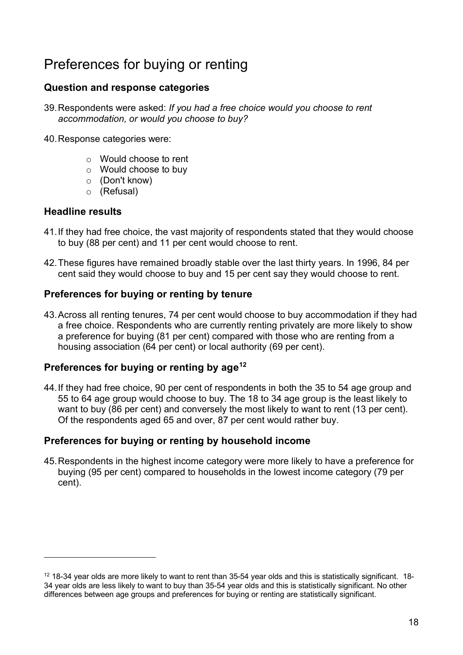# <span id="page-17-0"></span>Preferences for buying or renting

### **Question and response categories**

- 39.Respondents were asked: *If you had a free choice would you choose to rent accommodation, or would you choose to buy?*
- 40.Response categories were:
	- o Would choose to rent
	- o Would choose to buy
	- o (Don't know)
	- o (Refusal)

### **Headline results**

- 41.If they had free choice, the vast majority of respondents stated that they would choose to buy (88 per cent) and 11 per cent would choose to rent.
- 42.These figures have remained broadly stable over the last thirty years. In 1996, 84 per cent said they would choose to buy and 15 per cent say they would choose to rent.

### **Preferences for buying or renting by tenure**

43.Across all renting tenures, 74 per cent would choose to buy accommodation if they had a free choice. Respondents who are currently renting privately are more likely to show a preference for buying (81 per cent) compared with those who are renting from a housing association (64 per cent) or local authority (69 per cent).

### **Preferences for buying or renting by age[12](#page-17-1)**

44.If they had free choice, 90 per cent of respondents in both the 35 to 54 age group and 55 to 64 age group would choose to buy. The 18 to 34 age group is the least likely to want to buy (86 per cent) and conversely the most likely to want to rent (13 per cent). Of the respondents aged 65 and over, 87 per cent would rather buy.

### **Preferences for buying or renting by household income**

45.Respondents in the highest income category were more likely to have a preference for buying (95 per cent) compared to households in the lowest income category (79 per cent).

<span id="page-17-1"></span> $12$  18-34 year olds are more likely to want to rent than 35-54 year olds and this is statistically significant. 18-34 year olds are less likely to want to buy than 35-54 year olds and this is statistically significant. No other differences between age groups and preferences for buying or renting are statistically significant.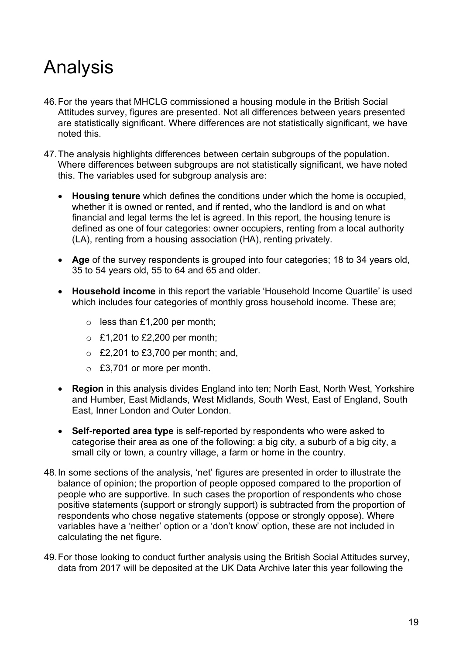# <span id="page-18-0"></span>Analysis

- 46.For the years that MHCLG commissioned a housing module in the British Social Attitudes survey, figures are presented. Not all differences between years presented are statistically significant. Where differences are not statistically significant, we have noted this.
- 47.The analysis highlights differences between certain subgroups of the population. Where differences between subgroups are not statistically significant, we have noted this. The variables used for subgroup analysis are:
	- **Housing tenure** which defines the conditions under which the home is occupied, whether it is owned or rented, and if rented, who the landlord is and on what financial and legal terms the let is agreed. In this report, the housing tenure is defined as one of four categories: owner occupiers, renting from a local authority (LA), renting from a housing association (HA), renting privately.
	- **Age** of the survey respondents is grouped into four categories; 18 to 34 years old, 35 to 54 years old, 55 to 64 and 65 and older.
	- **Household income** in this report the variable 'Household Income Quartile' is used which includes four categories of monthly gross household income. These are;
		- o less than £1,200 per month;
		- $\circ$  £1,201 to £2,200 per month;
		- $\circ$  £2,201 to £3,700 per month; and,
		- o £3,701 or more per month.
	- **Region** in this analysis divides England into ten; North East, North West, Yorkshire and Humber, East Midlands, West Midlands, South West, East of England, South East, Inner London and Outer London.
	- **Self-reported area type** is self-reported by respondents who were asked to categorise their area as one of the following: a big city, a suburb of a big city, a small city or town, a country village, a farm or home in the country.
- 48.In some sections of the analysis, 'net' figures are presented in order to illustrate the balance of opinion; the proportion of people opposed compared to the proportion of people who are supportive. In such cases the proportion of respondents who chose positive statements (support or strongly support) is subtracted from the proportion of respondents who chose negative statements (oppose or strongly oppose). Where variables have a 'neither' option or a 'don't know' option, these are not included in calculating the net figure.
- 49.For those looking to conduct further analysis using the British Social Attitudes survey, data from 2017 will be deposited at the UK Data Archive later this year following the